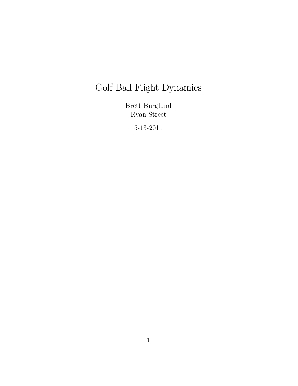# Golf Ball Flight Dynamics

Brett Burglund Ryan Street

5-13-2011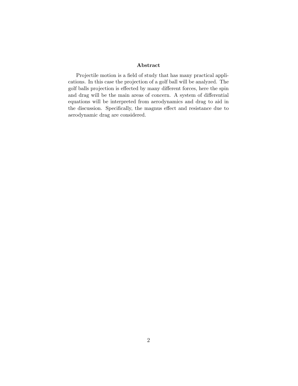#### Abstract

Projectile motion is a field of study that has many practical applications. In this case the projection of a golf ball will be analyzed. The golf balls projection is effected by many different forces, here the spin and drag will be the main areas of concern. A system of differential equations will be interpreted from aerodynamics and drag to aid in the discussion. Specifically, the magnus effect and resistance due to aerodynamic drag are considered.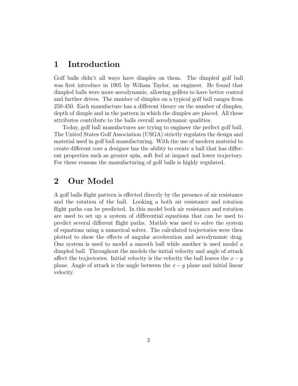#### 1 Introduction

Golf balls didn't all ways have dimples on them. The dimpled golf ball was first introduce in 1905 by Wiliam Taylor, an engineer. He found that dimpled balls were more aerodynamic, allowing golfers to have better control and further drives. The number of dimples on a typical golf ball ranges from 250-450. Each manufacture has a different theory on the number of dimples, depth of dimple and in the pattern in which the dimples are placed. All these attributes contribute to the balls overall aerodynamic qualities.

Today, golf ball manufactures are trying to engineer the perfect golf ball. The United States Golf Association (USGA) strictly regulates the design and material used in golf ball manufacturing. With the use of modern material to create different core a designer has the ability to create a ball that has different properties such as greater spin, soft feel at impact and lower trajectory. For these reasons the manufacturing of golf balls is highly regulated.

### 2 Our Model

A golf balls flight pattern is effected directly by the presence of air resistance and the rotation of the ball. Looking a both air resistance and rotation flight paths can be predicted. In this model both air resistance and rotation are used to set up a system of differential equations that can be used to predict several different flight paths. Matlab was used to solve the system of equations using a numerical solver. The calculated trajectories were then plotted to show the effects of angular acceleration and aerodynamic drag. One system is used to model a smooth ball while another is used model a dimpled ball. Throughout the models the initial velocity and angle of attack affect the trajectories. Initial velocity is the velocity the ball leaves the  $x-y$ plane. Angle of attack is the angle between the  $x - y$  plane and initial linear velocity.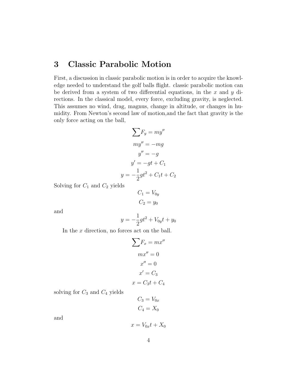# 3 Classic Parabolic Motion

First, a discussion in classic parabolic motion is in order to acquire the knowledge needed to understand the golf balls flight. classic parabolic motion can be derived from a system of two differential equations, in the  $x$  and  $y$  directions. In the classical model, every force, excluding gravity, is neglected. This assumes no wind, drag, magnus, change in altitude, or changes in humidity. From Newton's second law of motion,and the fact that gravity is the only force acting on the ball,

$$
\sum F_y = my''
$$
  

$$
my'' = -mg
$$
  

$$
y'' = -g
$$
  

$$
y' = -gt + C_1
$$
  

$$
y = -\frac{1}{2}gt^2 + C_1t + C_2
$$

Solving for  $C_1$  and  $C_2$  yields

$$
C_1 = V_{0y}
$$

$$
C_2 = y_0
$$

and

$$
y = -\frac{1}{2}gt^2 + V_{0y}t + y_0
$$

In the x direction, no forces act on the ball.

$$
\sum F_x = mx''
$$

$$
mx'' = 0
$$

$$
x'' = 0
$$

$$
x' = C_3
$$

$$
x = C_3t + C_4
$$

solving for  $C_3$  and  $C_4$  yields

$$
C_3 = V_{0x}
$$

$$
C_4 = X_0
$$

and

$$
x = V_{0x}t + X_0
$$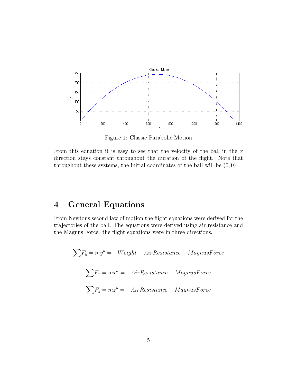

Figure 1: Classic Parabolic Motion

From this equation it is easy to see that the velocity of the ball in the  $x$ direction stays constant throughout the duration of the flight. Note that throughout these systems, the initial coordinates of the ball will be  $(0,0)$ 

# 4 General Equations

From Newtons second law of motion the flight equations were derived for the trajectories of the ball. The equations were derived using air resistance and the Magnus Force. the flight equations were in three directions.

$$
\sum F_y = my'' = -Weight - AirResistance + MagnusForce
$$
  

$$
\sum F_x = mx'' = -AirResistance + MagnusForce
$$
  

$$
\sum F_z = mz'' = -AirResistance + MagnusForce
$$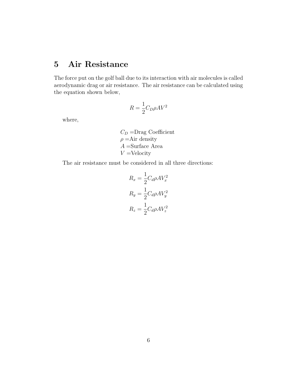# 5 Air Resistance

The force put on the golf ball due to its interaction with air molecules is called aerodynamic drag or air resistance. The air resistance can be calculated using the equation shown below,

$$
R = \frac{1}{2}C_D \rho A V^2
$$

where,

 $C_D$  =Drag Coefficient  $\rho =$ Air density  $A =$ Surface Area  $V =$ Velocity

The air resistance must be considered in all three directions:

$$
R_x = \frac{1}{2} C_d \rho A V_x^2
$$
  

$$
R_y = \frac{1}{2} C_d \rho A V_y^2
$$
  

$$
R_z = \frac{1}{2} C_d \rho A V_z^2
$$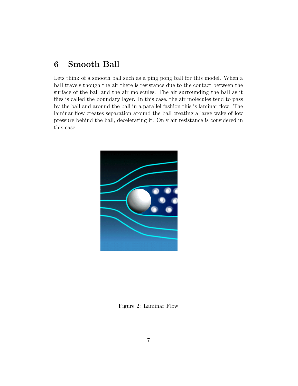# 6 Smooth Ball

Lets think of a smooth ball such as a ping pong ball for this model. When a ball travels though the air there is resistance due to the contact between the surface of the ball and the air molecules. The air surrounding the ball as it flies is called the boundary layer. In this case, the air molecules tend to pass by the ball and around the ball in a parallel fashion this is laminar flow. The laminar flow creates separation around the ball creating a large wake of low pressure behind the ball, decelerating it. Only air resistance is considered in this case.



Figure 2: Laminar Flow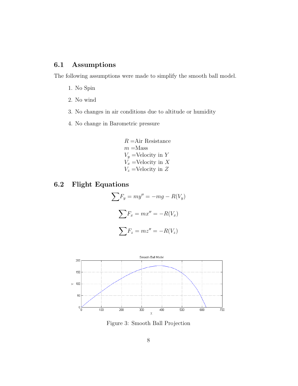#### 6.1 Assumptions

The following assumptions were made to simplify the smooth ball model.

- 1. No Spin
- 2. No wind
- 3. No changes in air conditions due to altitude or humidity
- 4. No change in Barometric pressure

 $R = Air Resistance$  $m =$ Mass  $V_y$  =Velocity in Y  $V_x$  =Velocity in X  $V_z$  =Velocity in  $Z$ 

#### 6.2 Flight Equations

$$
\sum F_y = my'' = -mg - R(V_y)
$$

$$
\sum F_x = mx'' = -R(V_x)
$$

$$
\sum F_z = mz'' = -R(V_z)
$$



Figure 3: Smooth Ball Projection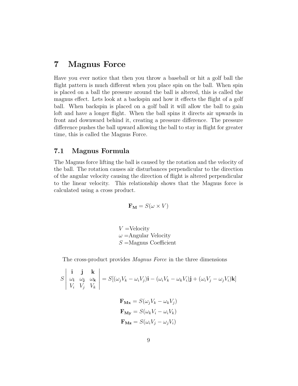### 7 Magnus Force

Have you ever notice that then you throw a baseball or hit a golf ball the flight pattern is much different when you place spin on the ball. When spin is placed on a ball the pressure around the ball is altered, this is called the magnus effect. Lets look at a backspin and how it effects the flight of a golf ball. When backspin is placed on a golf ball it will allow the ball to gain loft and have a longer flight. When the ball spins it directs air upwards in front and downward behind it, creating a pressure difference. The pressure difference pushes the ball upward allowing the ball to stay in flight for greater time, this is called the Magnus Force.

#### 7.1 Magnus Formula

The Magnus force lifting the ball is caused by the rotation and the velocity of the ball. The rotation causes air disturbances perpendicular to the direction of the angular velocity causing the direction of flight is altered perpendicular to the linear velocity. This relationship shows that the Magnus force is calculated using a cross product.

$$
\mathbf{F}_{\mathbf{M}} = S(\omega \times V)
$$

 $V =$ Velocity  $\omega$  = Angular Velocity  $S =$ Magnus Coefficient

The cross-product provides *Magnus Force* in the three dimensions

$$
S\begin{vmatrix}\n\mathbf{i} & \mathbf{j} & \mathbf{k} \\
\omega_{\mathbf{i}} & \omega_{\mathbf{j}} & \omega_{\mathbf{k}} \\
V_i & V_j & V_k\n\end{vmatrix} = S[(\omega_j V_k - \omega_i V_j)\mathbf{i} - (\omega_i V_k - \omega_k V_i)\mathbf{j} + (\omega_i V_j - \omega_j V_i)\mathbf{k}]
$$

$$
\mathbf{F}_{\mathbf{Mx}} = S(\omega_j V_k - \omega_k V_j)
$$

$$
\mathbf{F}_{\mathbf{My}} = S(\omega_k V_i - \omega_i V_k)
$$

$$
\mathbf{F}_{\mathbf{Mz}} = S(\omega_i V_j - \omega_j V_i)
$$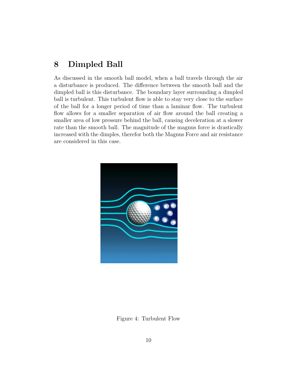# 8 Dimpled Ball

As discussed in the smooth ball model, when a ball travels through the air a disturbance is produced. The difference between the smooth ball and the dimpled ball is this disturbance. The boundary layer surrounding a dimpled ball is turbulent. This turbulent flow is able to stay very close to the surface of the ball for a longer period of time than a laminar flow. The turbulent flow allows for a smaller separation of air flow around the ball creating a smaller area of low pressure behind the ball, causing deceleration at a slower rate than the smooth ball. The magnitude of the magnus force is drastically increased with the dimples, therefor both the Magnus Force and air resistance are considered in this case.



Figure 4: Turbulent Flow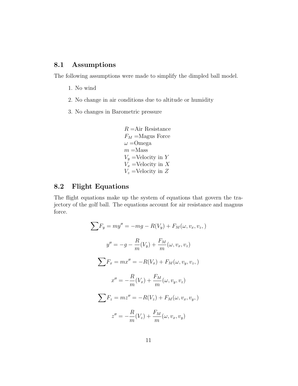#### 8.1 Assumptions

The following assumptions were made to simplify the dimpled ball model.

- 1. No wind
- 2. No change in air conditions due to altitude or humidity
- 3. No changes in Barometric pressure

 $R = Air Resistance$  $F_M$  =Magus Force  $\omega$  = Omega  $m =$ Mass  $V_y$  =Velocity in Y  $V_x$  =Velocity in X  $V_z$  =Velocity in  $Z$ 

#### 8.2 Flight Equations

The flight equations make up the system of equations that govern the trajectory of the golf ball. The equations account for air resistance and magnus force.

$$
\sum F_y = my'' = -mg - R(V_y) + F_M(\omega, v_x, v_z, )
$$
  

$$
y'' = -g - \frac{R}{m}(V_y) + \frac{F_M}{m}(\omega, v_x, v_z)
$$
  

$$
\sum F_x = mx'' = -R(V_x) + F_M(\omega, v_y, v_z, )
$$
  

$$
x'' = -\frac{R}{m}(V_x) + \frac{F_M}{m}(\omega, v_y, v_z)
$$
  

$$
\sum F_z = mz'' = -R(V_z) + F_M(\omega, v_x, v_y, )
$$
  

$$
z'' = -\frac{R}{m}(V_z) + \frac{F_M}{m}(\omega, v_x, v_y)
$$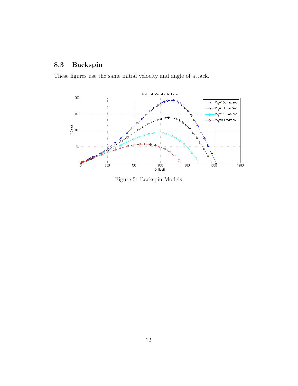# 8.3 Backspin

These figures use the same initial velocity and angle of attack.



Figure 5: Backspin Models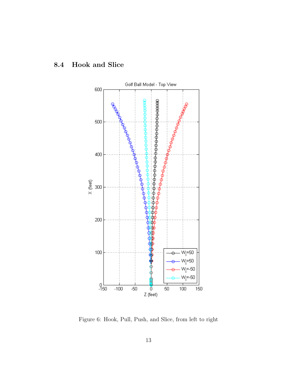



Figure 6: Hook, Pull, Push, and Slice, from left to right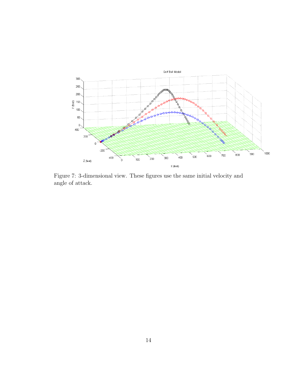

Figure 7: 3-dimensional view. These figures use the same initial velocity and angle of attack.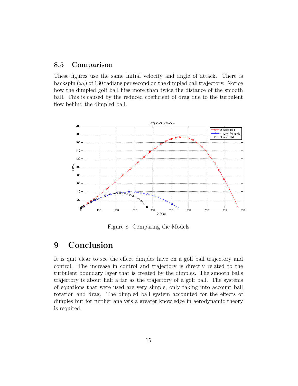#### 8.5 Comparison

These figures use the same initial velocity and angle of attack. There is backspin  $(\omega_k)$  of 130 radians per second on the dimpled ball trajectory. Notice how the dimpled golf ball flies more than twice the distance of the smooth ball. This is caused by the reduced coefficient of drag due to the turbulent flow behind the dimpled ball.



Figure 8: Comparing the Models

# 9 Conclusion

It is quit clear to see the effect dimples have on a golf ball trajectory and control. The increase in control and trajectory is directly related to the turbulent boundary layer that is created by the dimples. The smooth balls trajectory is about half a far as the trajectory of a golf ball. The systems of equations that were used are very simple, only taking into account ball rotation and drag. The dimpled ball system accounted for the effects of dimples but for further analysis a greater knowledge in aerodynamic theory is required.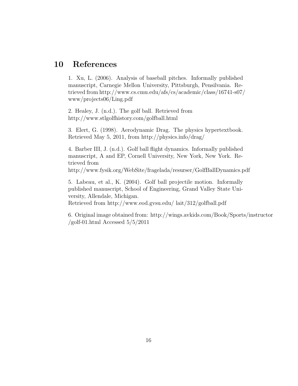# 10 References

1. Xu, L. (2006). Analysis of baseball pitches. Informally published manuscript, Carnegie Mellon University, Pittsburgh, Pensilvania. Retrieved from http://www.cs.cmu.edu/afs/cs/academic/class/16741-s07/ www/projects06/Ling.pdf

2. Healey, J. (n.d.). The golf ball. Retrieved from http://www.stlgolfhistory.com/golfball.html

3. Elert, G. (1998). Aerodynamic Drag. The physics hypertextbook. Retrieved May 5, 2011, from http://physics.info/drag/

4. Barber III, J. (n.d.). Golf ball flight dynamics. Informally published manuscript, A and EP, Cornell University, New York, New York. Retrieved from

http://www.fysik.org/WebSite/fragelada/resurser/GolfBallDynamics.pdf

5. Labeau, et al., K. (2004). Golf ball projectile motion. Informally published manuscript, School of Engineering, Grand Valley State University, Allendale, Michigan.

Retrieved from http://www.eod.gvsu.edu/ lait/312/golfball.pdf

6. Original image obtained from: http://wings.avkids.com/Book/Sports/instructor /golf-01.html Accessed 5/5/2011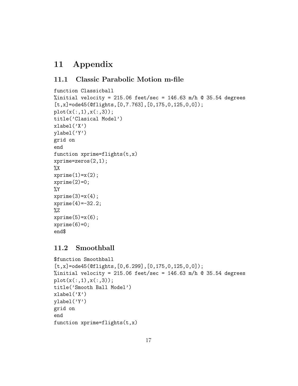# 11 Appendix

#### 11.1 Classic Parabolic Motion m-file

```
function Classicball
%initial velocity = 215.06 feet/sec = 146.63 m/h @ 35.54 degrees
[t, x] = ode45(@flights, [0, 7.763], [0, 175, 0, 125, 0, 0]);plot(x(:,1),x(:,3));title('Clasical Model')
xlabel('X')ylabel('Y')
grid on
end
function xprime=flights(t, x)xprime=zeros(2,1);
\chixprime(1)=x(2);xprime(2)=0;
%Y
xprime(3)=x(4);xprime(4)=-32.2;
%Z
xprime(5)=x(6);xprime(6)=0;end$
```
#### 11.2 Smoothball

```
$function Smoothball
[t,x]=ode45(@flights,[0,6.299],[0,175,0,125,0,0]);
%initial velocity = 215.06 feet/sec = 146.63 m/h @ 35.54 degrees
plot(x(:,1),x(:,3));title('Smooth Ball Model')
xlabel('X')
ylabel('Y')
grid on
end
function xprime=flights(t,x)
```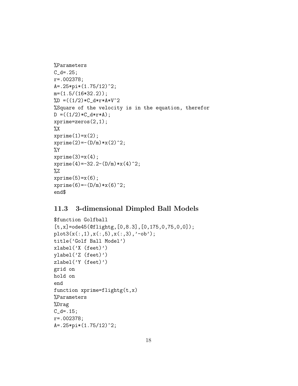```
%Parameters
C_d = .25;r=.002378;
A=.25*pi*(1.75/12)^2;
m=(1.5/(16*32.2));\text{WD} = ((1/2)*C_d*r*A*V^2)%Square of the velocity is in the equation, therefor
D = ((1/2)*C_d* r*A);xprime=zeros(2,1);
\chixprime(1)=x(2);xprime(2)=-(D/m)*x(2)^2;%Y
xprime(3)=x(4);xprime(4) = -32.2-(D/m)*x(4)^2;%Z
xprime(5)=x(6);xprime(6) = -(D/m) * x(6)^2;end$
```
#### 11.3 3-dimensional Dimpled Ball Models

```
$function Golfball
[t,x]=ode45(@flightg,[0,8.3],[0,175,0,75,0,0]);
plot3(x(:,1),x(:,5),x(:,3),'-ob');title('Golf Ball Model')
xlabel('X (feet)')
ylabel('Z (feet)')
zlabel('Y (feet)')
grid on
hold on
end
function xprime=flightg(t,x)
%Parameters
%Drag
C_d = .15;r=.002378;
A=.25*pi*(1.75/12)^2;
```